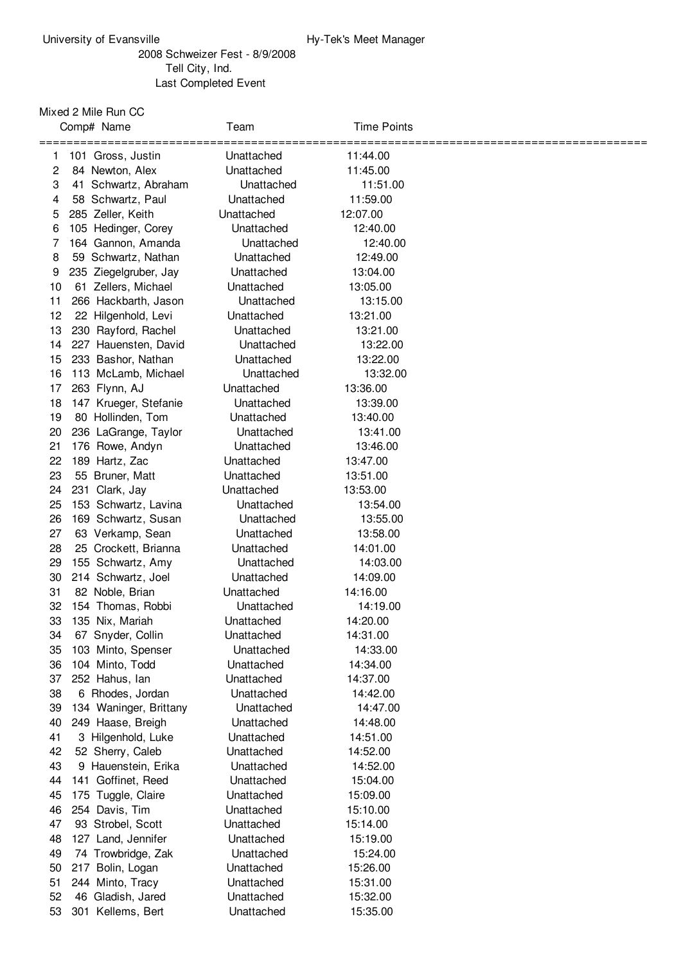## Schweizer Fest - 8/9/2008 Tell City, Ind. Last Completed Event

## Mixed 2 Mile Run CC

|          | Comp# Name                              | Team                     | <b>Time Points</b>   |  |
|----------|-----------------------------------------|--------------------------|----------------------|--|
| 1        | 101 Gross, Justin                       | Unattached               | 11:44.00             |  |
| 2        | 84 Newton, Alex                         | Unattached               | 11:45.00             |  |
| 3        | 41 Schwartz, Abraham                    | Unattached               | 11:51.00             |  |
| 4        | 58 Schwartz, Paul                       | Unattached               | 11:59.00             |  |
| 5        | 285 Zeller, Keith                       | Unattached               | 12:07.00             |  |
| 6        | 105 Hedinger, Corey                     | Unattached               | 12:40.00             |  |
| 7        | 164 Gannon, Amanda                      | Unattached               | 12:40.00             |  |
| 8        | 59 Schwartz, Nathan                     | Unattached               | 12:49.00             |  |
| 9        | 235 Ziegelgruber, Jay                   | Unattached               | 13:04.00             |  |
| 10       | 61 Zellers, Michael                     | Unattached               | 13:05.00             |  |
| 11       | 266 Hackbarth, Jason                    | Unattached               | 13:15.00             |  |
| 12       | 22 Hilgenhold, Levi                     | Unattached               | 13:21.00             |  |
| 13       | 230 Rayford, Rachel                     | Unattached               | 13:21.00             |  |
| 14       | 227 Hauensten, David                    | Unattached               | 13:22.00             |  |
| 15       | 233 Bashor, Nathan                      | Unattached               | 13:22.00             |  |
| 16       | 113 McLamb, Michael                     | Unattached               | 13:32.00             |  |
| 17       | 263 Flynn, AJ                           | Unattached               | 13:36.00             |  |
| 18       | 147 Krueger, Stefanie                   | Unattached               | 13:39.00             |  |
| 19       | 80 Hollinden, Tom                       | Unattached               | 13:40.00             |  |
| 20       | 236 LaGrange, Taylor                    | Unattached               | 13:41.00             |  |
| 21       | 176 Rowe, Andyn                         | Unattached               | 13:46.00             |  |
| 22       | 189 Hartz, Zac                          | Unattached               | 13:47.00             |  |
| 23       | 55 Bruner, Matt                         | Unattached               | 13:51.00             |  |
| 24       | 231 Clark, Jay                          | Unattached               | 13:53.00             |  |
| 25       | 153 Schwartz, Lavina                    | Unattached               | 13:54.00             |  |
| 26       | 169 Schwartz, Susan                     | Unattached               | 13:55.00             |  |
| 27       | 63 Verkamp, Sean                        | Unattached               | 13:58.00             |  |
| 28       | 25 Crockett, Brianna                    | Unattached               | 14:01.00             |  |
| 29       | 155 Schwartz, Amy                       | Unattached               | 14:03.00             |  |
| 30       | 214 Schwartz, Joel                      | Unattached               | 14:09.00             |  |
| 31       | 82 Noble, Brian                         | Unattached               | 14:16.00             |  |
| 32       | 154 Thomas, Robbi                       | Unattached               | 14:19.00             |  |
| 33       | 135 Nix, Mariah                         | Unattached               | 14:20.00             |  |
| 34       | 67 Snyder, Collin                       | Unattached               | 14:31.00             |  |
| 35       | 103 Minto, Spenser                      | Unattached               | 14:33.00             |  |
| 36       | 104 Minto, Todd                         | Unattached               | 14:34.00             |  |
| 37       | 252 Hahus, lan                          | Unattached               | 14:37.00             |  |
| 38       | 6 Rhodes, Jordan                        | Unattached               | 14:42.00             |  |
| 39       | 134 Waninger, Brittany                  | Unattached               | 14:47.00             |  |
| 40<br>41 | 249 Haase, Breigh<br>3 Hilgenhold, Luke | Unattached               | 14:48.00             |  |
| 42       | 52 Sherry, Caleb                        | Unattached<br>Unattached | 14:51.00<br>14:52.00 |  |
| 43       | 9 Hauenstein, Erika                     | Unattached               | 14:52.00             |  |
| 44       | 141 Goffinet, Reed                      | Unattached               | 15:04.00             |  |
| 45       | 175 Tuggle, Claire                      | Unattached               | 15:09.00             |  |
| 46       | 254 Davis, Tim                          | Unattached               | 15:10.00             |  |
| 47       | 93 Strobel, Scott                       | Unattached               | 15:14.00             |  |
| 48       | 127 Land, Jennifer                      | Unattached               | 15:19.00             |  |
| 49       | 74 Trowbridge, Zak                      | Unattached               | 15:24.00             |  |
| 50       | 217 Bolin, Logan                        | Unattached               | 15:26.00             |  |
| 51       | 244 Minto, Tracy                        | Unattached               | 15:31.00             |  |
| 52       | 46 Gladish, Jared                       | Unattached               | 15:32.00             |  |
| 53       | 301 Kellems, Bert                       | Unattached               | 15:35.00             |  |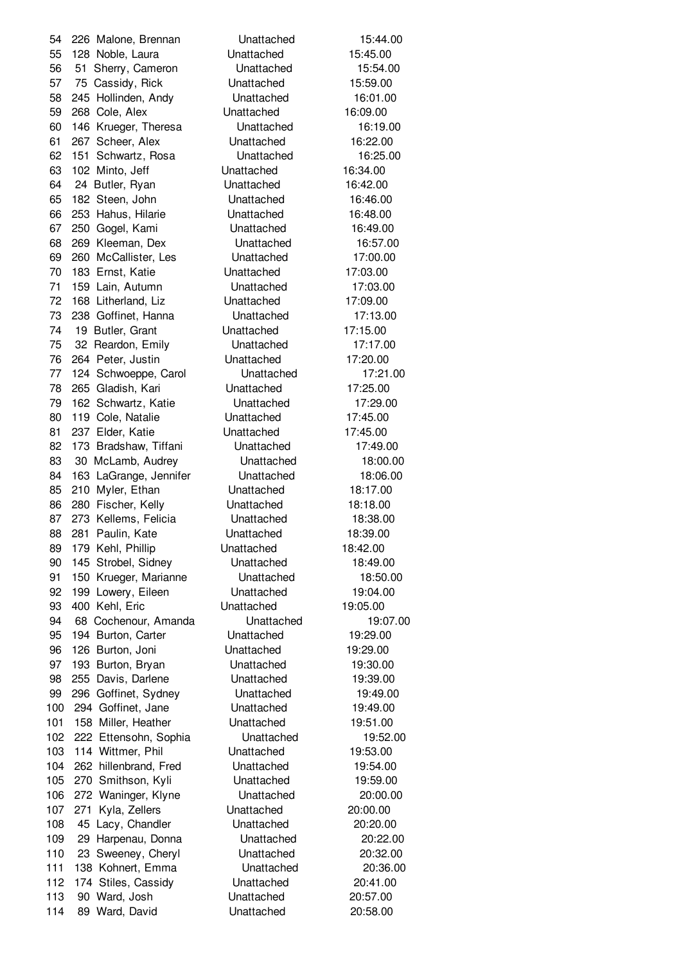226 Malone, Brennan Unattached 15:44.00 128 Noble, Laura Unattached 15:45.00 51 Sherry, Cameron Unattached 15:54.00 75 Cassidy, Rick Unattached 15:59.00 245 Hollinden, Andy Unattached 16:01.00 268 Cole, Alex Unattached 16:09.00 146 Krueger, Theresa Unattached 16:19.00 267 Scheer, Alex Unattached 16:22.00 151 Schwartz, Rosa Unattached 16:25.00 102 Minto, Jeff Unattached 16:34.00 24 Butler, Ryan Unattached 16:42.00 182 Steen, John Unattached 16:46.00 253 Hahus, Hilarie Unattached 16:48.00 250 Gogel, Kami Unattached 16:49.00 269 Kleeman, Dex Unattached 16:57.00 260 McCallister, Les Unattached 17:00.00 183 Ernst, Katie Unattached 17:03.00 159 Lain, Autumn Unattached 17:03.00 168 Litherland, Liz Unattached 17:09.00 238 Goffinet, Hanna Unattached 17:13.00 19 Butler, Grant Unattached 17:15.00 32 Reardon, Emily Unattached 17:17.00 264 Peter, Justin Unattached 17:20.00 124 Schwoeppe, Carol Unattached 17:21.00 265 Gladish, Kari Unattached 17:25.00 162 Schwartz, Katie Unattached 17:29.00 119 Cole, Natalie Unattached 17:45.00 237 Elder, Katie Unattached 17:45.00 173 Bradshaw, Tiffani Unattached 17:49.00 30 McLamb, Audrey Unattached 18:00.00 163 LaGrange, Jennifer Unattached 18:06.00 210 Myler, Ethan Unattached 18:17.00 280 Fischer, Kelly Unattached 18:18.00 273 Kellems, Felicia Unattached 18:38.00 281 Paulin, Kate Unattached 18:39.00 179 Kehl, Phillip Unattached 18:42.00 145 Strobel, Sidney Unattached 18:49.00 150 Krueger, Marianne Unattached 18:50.00 199 Lowery, Eileen Unattached 19:04.00 400 Kehl, Eric Unattached 19:05.00 68 Cochenour, Amanda Unattached 19:07.00 194 Burton, Carter Unattached 19:29.00 126 Burton, Joni Unattached 19:29.00 193 Burton, Bryan Unattached 19:30.00 255 Davis, Darlene Unattached 19:39.00 296 Goffinet, Sydney Unattached 19:49.00 100 294 Goffinet, Jane Unattached 19:49.00 101 158 Miller, Heather **Unattached** 19:51.00 222 Ettensohn, Sophia Unattached 19:52.00 103 114 Wittmer, Phil Unattached 19:53.00 262 hillenbrand, Fred Unattached 19:54.00 270 Smithson, Kyli Unattached 19:59.00 272 Waninger, Klyne Unattached 20:00.00 271 Kyla, Zellers Unattached 20:00.00 45 Lacy, Chandler Unattached 20:20.00 29 Harpenau, Donna Unattached 20:22.00 23 Sweeney, Cheryl Unattached 20:32.00 138 Kohnert, Emma Unattached 20:36.00 174 Stiles, Cassidy Unattached 20:41.00 113 90 Ward, Josh Unattached 20:57.00 114 89 Ward, David **Unattached** 20:58.00